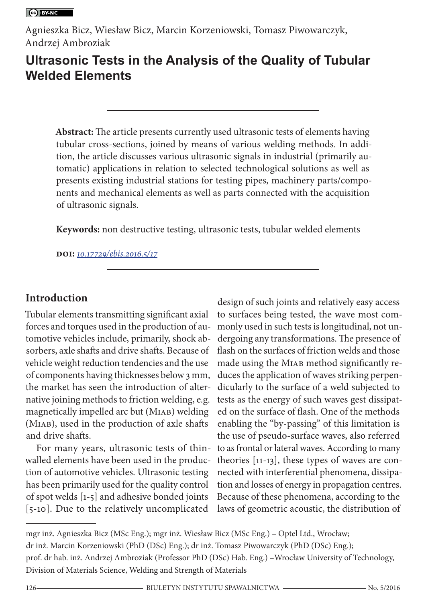Agnieszka Bicz, Wiesław Bicz, Marcin Korzeniowski, Tomasz Piwowarczyk, Andrzej Ambroziak

# **Ultrasonic Tests in the Analysis of the Quality of Tubular Welded Elements**

**Abstract:** The article presents currently used ultrasonic tests of elements having tubular cross-sections, joined by means of various welding methods. In addition, the article discusses various ultrasonic signals in industrial (primarily automatic) applications in relation to selected technological solutions as well as presents existing industrial stations for testing pipes, machinery parts/components and mechanical elements as well as parts connected with the acquisition of ultrasonic signals.

**Keywords:** non destructive testing, ultrasonic tests, tubular welded elements

**doi:** *[10.17729/ebis.2016.5/17](http://dx.doi.org/10.17729/ebis.2016.5/17)*

# **Introduction**

Tubular elements transmitting significant axial forces and torques used in the production of automotive vehicles include, primarily, shock absorbers, axle shafts and drive shafts. Because of vehicle weight reduction tendencies and the use of components having thicknesses below 3 mm, the market has seen the introduction of alternative joining methods to friction welding, e.g. magnetically impelled arc but (MIAB) welding (MIAB), used in the production of axle shafts and drive shafts.

For many years, ultrasonic tests of thinwalled elements have been used in the production of automotive vehicles. Ultrasonic testing has been primarily used for the quality control of spot welds [1-5] and adhesive bonded joints [5-10]. Due to the relatively uncomplicated

design of such joints and relatively easy access to surfaces being tested, the wave most commonly used in such tests is longitudinal, not undergoing any transformations. The presence of flash on the surfaces of friction welds and those made using the MIAB method significantly reduces the application of waves striking perpendicularly to the surface of a weld subjected to tests as the energy of such waves gest dissipated on the surface of flash. One of the methods enabling the "by-passing" of this limitation is the use of pseudo-surface waves, also referred to as frontal or lateral waves. According to many theories [11-13], these types of waves are connected with interferential phenomena, dissipation and losses of energy in propagation centres. Because of these phenomena, according to the laws of geometric acoustic, the distribution of

mgr inż. Agnieszka Bicz (MSc Eng.); mgr inż. Wiesław Bicz (MSc Eng.) – Optel Ltd., Wrocław; dr inż. Marcin Korzeniowski (PhD (DSc) Eng.); dr inż. Tomasz Piwowarczyk (PhD (DSc) Eng.); prof. dr hab. inż. Andrzej Ambroziak (Professor PhD (DSc) Hab. Eng.) –Wrocław University of Technology, Division of Materials Science, Welding and Strength of Materials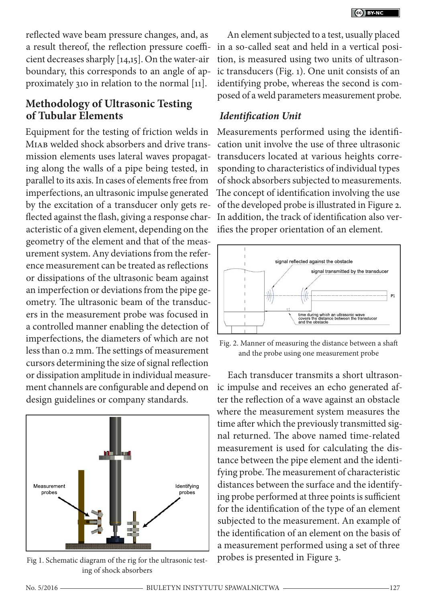reflected wave beam pressure changes, and, as a result thereof, the reflection pressure coefficient decreases sharply [14,15]. On the water-air boundary, this corresponds to an angle of approximately 31o in relation to the normal [11].

## **Methodology of Ultrasonic Testing of Tubular Elements**

Equipment for the testing of friction welds in MIAB welded shock absorbers and drive transmission elements uses lateral waves propagating along the walls of a pipe being tested, in parallel to its axis. In cases of elements free from imperfections, an ultrasonic impulse generated by the excitation of a transducer only gets reflected against the flash, giving a response characteristic of a given element, depending on the geometry of the element and that of the measurement system. Any deviations from the reference measurement can be treated as reflections or dissipations of the ultrasonic beam against an imperfection or deviations from the pipe geometry. The ultrasonic beam of the transducers in the measurement probe was focused in a controlled manner enabling the detection of imperfections, the diameters of which are not less than 0.2 mm. The settings of measurement cursors determining the size of signal reflection or dissipation amplitude in individual measurement channels are configurable and depend on design guidelines or company standards.



Fig 1. Schematic diagram of the rig for the ultrasonic testing of shock absorbers

An element subjected to a test, usually placed in a so-called seat and held in a vertical position, is measured using two units of ultrasonic transducers (Fig. 1). One unit consists of an identifying probe, whereas the second is composed of a weld parameters measurement probe.

### *Identification Unit*

Measurements performed using the identification unit involve the use of three ultrasonic transducers located at various heights corresponding to characteristics of individual types of shock absorbers subjected to measurements. The concept of identification involving the use of the developed probe is illustrated in Figure 2. In addition, the track of identification also verifies the proper orientation of an element.



Fig. 2. Manner of measuring the distance between a shaft and the probe using one measurement probe

Each transducer transmits a short ultrasonic impulse and receives an echo generated after the reflection of a wave against an obstacle where the measurement system measures the time after which the previously transmitted signal returned. The above named time-related measurement is used for calculating the distance between the pipe element and the identifying probe. The measurement of characteristic distances between the surface and the identifying probe performed at three points is sufficient for the identification of the type of an element subjected to the measurement. An example of the identification of an element on the basis of a measurement performed using a set of three probes is presented in Figure 3.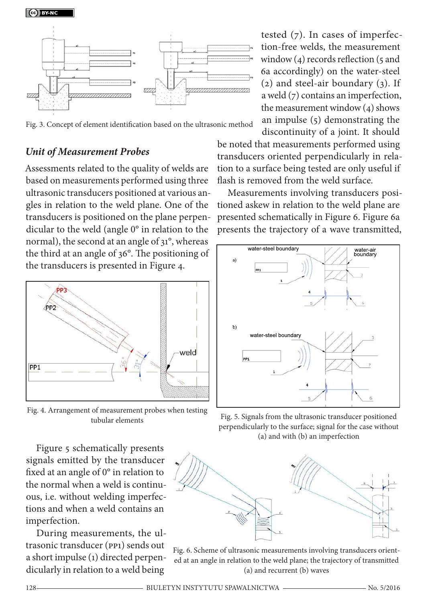Ce BY-NC



Fig. 3. Concept of element identification based on the ultrasonic method

### *Unit of Measurement Probes*

Assessments related to the quality of welds are based on measurements performed using three ultrasonic transducers positioned at various angles in relation to the weld plane. One of the transducers is positioned on the plane perpendicular to the weld (angle 0° in relation to the normal), the second at an angle of 31°, whereas the third at an angle of 36°. The positioning of the transducers is presented in Figure 4.



Fig. 4. Arrangement of measurement probes when testing

Figure 5 schematically presents signals emitted by the transducer fixed at an angle of 0° in relation to the normal when a weld is continuous, i.e. without welding imperfections and when a weld contains an imperfection.

During measurements, the ultrasonic transducer (PP1) sends out a short impulse (1) directed perpendicularly in relation to a weld being

tested (7). In cases of imperfection-free welds, the measurement window  $(4)$  records reflection  $(5 \text{ and } 1)$ 6a accordingly) on the water-steel (2) and steel-air boundary (3). If a weld (7) contains an imperfection, the measurement window (4) shows an impulse (5) demonstrating the discontinuity of a joint. It should

be noted that measurements performed using transducers oriented perpendicularly in relation to a surface being tested are only useful if flash is removed from the weld surface.

Measurements involving transducers positioned askew in relation to the weld plane are presented schematically in Figure 6. Figure 6a presents the trajectory of a wave transmitted,



tubular elements Fig. 5. Signals from the ultrasonic transducer positioned perpendicularly to the surface; signal for the case without (a) and with (b) an imperfection



Fig. 6. Scheme of ultrasonic measurements involving transducers oriented at an angle in relation to the weld plane; the trajectory of transmitted (a) and recurrent (b) waves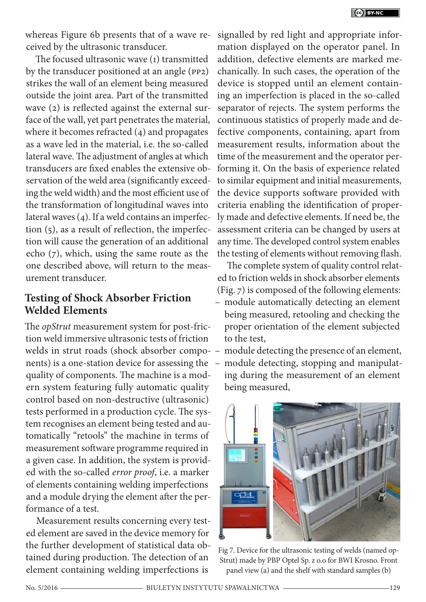whereas Figure 6b presents that of a wave received by the ultrasonic transducer.

The focused ultrasonic wave (1) transmitted by the transducer positioned at an angle (PP2) strikes the wall of an element being measured outside the joint area. Part of the transmitted wave (2) is reflected against the external surface of the wall, yet part penetrates the material, where it becomes refracted (4) and propagates as a wave led in the material, i.e. the so-called lateral wave. The adjustment of angles at which transducers are fixed enables the extensive observation of the weld area (significantly exceeding the weld width) and the most efficient use of the transformation of longitudinal waves into lateral waves (4). If a weld contains an imperfection (5), as a result of reflection, the imperfection will cause the generation of an additional echo (7), which, using the same route as the one described above, will return to the measurement transducer.

## **Testing of Shock Absorber Friction Welded Elements**

The *opStrut* measurement system for post-friction weld immersive ultrasonic tests of friction welds in strut roads (shock absorber compo-– module detecting the presence of an element, nents) is a one-station device for assessing the quality of components. The machine is a modern system featuring fully automatic quality control based on non-destructive (ultrasonic) tests performed in a production cycle. The system recognises an element being tested and automatically "retools" the machine in terms of measurement software programme required in a given case. In addition, the system is provided with the so-called *error proof*, i.e. a marker of elements containing welding imperfections and a module drying the element after the performance of a test.

Measurement results concerning every tested element are saved in the device memory for the further development of statistical data obtained during production. The detection of an element containing welding imperfections is

signalled by red light and appropriate information displayed on the operator panel. In addition, defective elements are marked mechanically. In such cases, the operation of the device is stopped until an element containing an imperfection is placed in the so-called separator of rejects. The system performs the continuous statistics of properly made and defective components, containing, apart from measurement results, information about the time of the measurement and the operator performing it. On the basis of experience related to similar equipment and initial measurements, the device supports software provided with criteria enabling the identification of properly made and defective elements. If need be, the assessment criteria can be changed by users at any time. The developed control system enables the testing of elements without removing flash.

The complete system of quality control related to friction welds in shock absorber elements (Fig. 7) is composed of the following elements:

- module automatically detecting an element being measured, retooling and checking the proper orientation of the element subjected to the test,
- module detecting, stopping and manipulating during the measurement of an element being measured,



Fig 7. Device for the ultrasonic testing of welds (named op-Strut) made by PBP Optel Sp. z o.o for BWI Krosno. Front panel view (a) and the shelf with standard samples (b)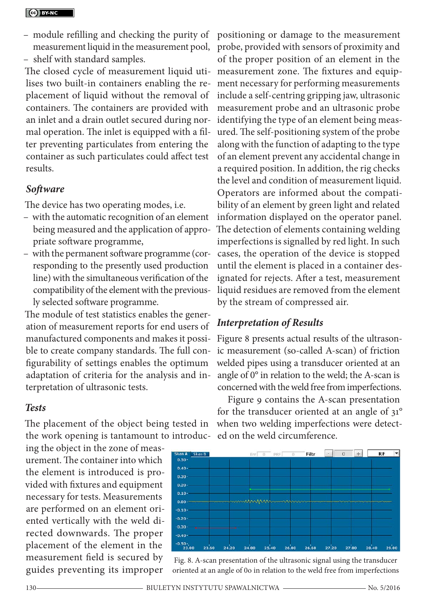- module refilling and checking the purity of measurement liquid in the measurement pool,
- shelf with standard samples.

The closed cycle of measurement liquid utilises two built-in containers enabling the replacement of liquid without the removal of containers. The containers are provided with an inlet and a drain outlet secured during normal operation. The inlet is equipped with a filter preventing particulates from entering the container as such particulates could affect test results.

#### *Software*

The device has two operating modes, i.e.

- with the automatic recognition of an element being measured and the application of appropriate software programme,
- with the permanent software programme (corresponding to the presently used production line) with the simultaneous verification of the compatibility of the element with the previously selected software programme.

The module of test statistics enables the generation of measurement reports for end users of manufactured components and makes it possible to create company standards. The full configurability of settings enables the optimum adaptation of criteria for the analysis and interpretation of ultrasonic tests.

#### *Tests*

The placement of the object being tested in when two welding imperfections were detectthe work opening is tantamount to introduc-ed on the weld circumference.

ing the object in the zone of measurement. The container into which the element is introduced is provided with fixtures and equipment necessary for tests. Measurements are performed on an element oriented vertically with the weld directed downwards. The proper placement of the element in the measurement field is secured by guides preventing its improper

positioning or damage to the measurement probe, provided with sensors of proximity and of the proper position of an element in the measurement zone. The fixtures and equipment necessary for performing measurements include a self-centring gripping jaw, ultrasonic measurement probe and an ultrasonic probe identifying the type of an element being measured. The self-positioning system of the probe along with the function of adapting to the type of an element prevent any accidental change in a required position. In addition, the rig checks the level and condition of measurement liquid. Operators are informed about the compatibility of an element by green light and related information displayed on the operator panel. The detection of elements containing welding imperfections is signalled by red light. In such cases, the operation of the device is stopped until the element is placed in a container designated for rejects. After a test, measurement liquid residues are removed from the element by the stream of compressed air.

#### *Interpretation of Results*

Figure 8 presents actual results of the ultrasonic measurement (so-called A-scan) of friction welded pipes using a transducer oriented at an angle of 0° in relation to the weld; the A-scan is concerned with the weld free from imperfections.

Figure 9 contains the A-scan presentation for the transducer oriented at an angle of 31°



Fig. 8. A-scan presentation of the ultrasonic signal using the transducer oriented at an angle of 0o in relation to the weld free from imperfections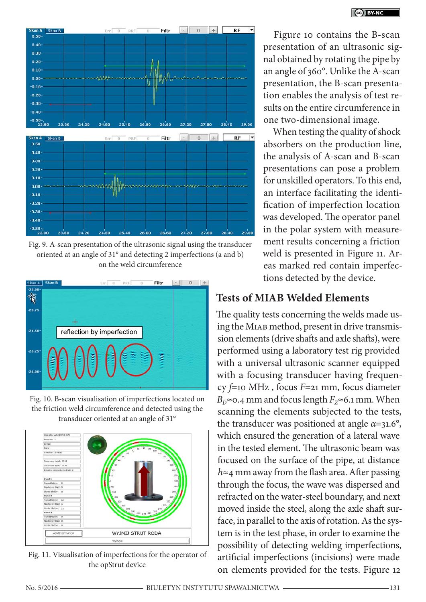

Fig. 9. A-scan presentation of the ultrasonic signal using the transducer oriented at an angle of 31° and detecting 2 imperfections (a and b) on the weld circumference



Fig. 10. B-scan visualisation of imperfections located on the friction weld circumference and detected using the transducer oriented at an angle of 31°



Fig. 11. Visualisation of imperfections for the operator of the opStrut device

Figure 10 contains the B-scan presentation of an ultrasonic signal obtained by rotating the pipe by an angle of 360°. Unlike the A-scan presentation, the B-scan presentation enables the analysis of test results on the entire circumference in one two-dimensional image.

When testing the quality of shock absorbers on the production line, the analysis of A-scan and B-scan presentations can pose a problem for unskilled operators. To this end, an interface facilitating the identification of imperfection location was developed. The operator panel in the polar system with measurement results concerning a friction weld is presented in Figure 11. Areas marked red contain imperfections detected by the device.

# **Tests of MIAB Welded Elements**

The quality tests concerning the welds made using the MIAB method, present in drive transmission elements (drive shafts and axle shafts), were performed using a laboratory test rig provided with a universal ultrasonic scanner equipped with a focusing transducer having frequency *f*=10 MHz , focus *F*=21 mm, focus diameter *B*<sub>D</sub>≈0.4 mm and focus length  $F_Z$ ≈6.1 mm. When scanning the elements subjected to the tests, the transducer was positioned at angle *α*=31.6°, which ensured the generation of a lateral wave in the tested element. The ultrasonic beam was focused on the surface of the pipe, at distance *h*≈4 mm away from the flash area. After passing through the focus, the wave was dispersed and refracted on the water-steel boundary, and next moved inside the steel, along the axle shaft surface, in parallel to the axis of rotation. As the system is in the test phase, in order to examine the possibility of detecting welding imperfections, artificial imperfections (incisions) were made on elements provided for the tests. Figure 12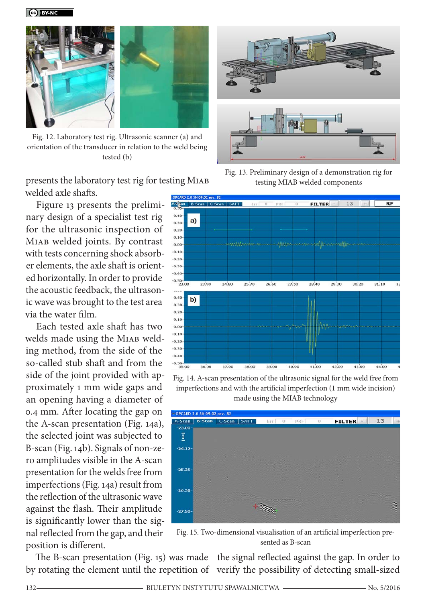

Fig. 12. Laboratory test rig. Ultrasonic scanner (a) and orientation of the transducer in relation to the weld being tested (b)



Figure 13 presents the preliminary design of a specialist test rig for the ultrasonic inspection of MIAB welded joints. By contrast with tests concerning shock absorber elements, the axle shaft is oriented horizontally. In order to provide the acoustic feedback, the ultrasonic wave was brought to the test area via the water film.

Each tested axle shaft has two welds made using the MIAB welding method, from the side of the so-called stub shaft and from the side of the joint provided with approximately 1 mm wide gaps and an opening having a diameter of 0.4 mm. After locating the gap on the A-scan presentation (Fig. 14a), the selected joint was subjected to B-scan (Fig. 14b). Signals of non-zero amplitudes visible in the A-scan presentation for the welds free from imperfections (Fig. 14a) result from the reflection of the ultrasonic wave against the flash. Their amplitude is significantly lower than the signal reflected from the gap, and their position is different.

Fig. 13. Preliminary design of a demonstration rig for testing MIAB welded components



Fig. 14. A-scan presentation of the ultrasonic signal for the weld free from imperfections and with the artificial imperfection (1 mm wide incision) made using the MIAB technology



Fig. 15. Two-dimensional visualisation of an artificial imperfection presented as B-scan

The B-scan presentation (Fig. 15) was made the signal reflected against the gap. In order to by rotating the element until the repetition of verify the possibility of detecting small-sized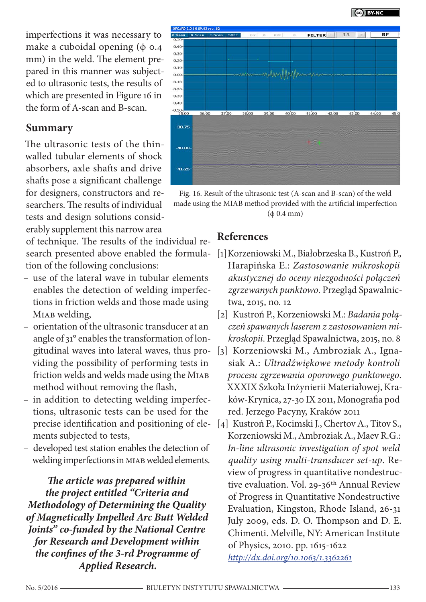

imperfections it was necessary to make a cuboidal opening  $(\phi \circ .4)$ mm) in the weld. The element prepared in this manner was subjected to ultrasonic tests, the results of which are presented in Figure 16 in the form of A-scan and B-scan.

### **Summary**

The ultrasonic tests of the thinwalled tubular elements of shock absorbers, axle shafts and drive shafts pose a significant challenge for designers, constructors and researchers. The results of individual tests and design solutions considerably supplement this narrow area

of technique. The results of the individual research presented above enabled the formulation of the following conclusions:

- use of the lateral wave in tubular elements enables the detection of welding imperfections in friction welds and those made using MIAB welding,
- orientation of the ultrasonic transducer at an angle of 31° enables the transformation of longitudinal waves into lateral waves, thus providing the possibility of performing tests in friction welds and welds made using the MIAB method without removing the flash,
- in addition to detecting welding imperfections, ultrasonic tests can be used for the precise identification and positioning of elements subjected to tests,
- developed test station enables the detection of welding imperfections in MIAB welded elements.

*The article was prepared within the project entitled "Criteria and Methodology of Determining the Quality of Magnetically Impelled Arc Butt Welded Joints" co-funded by the National Centre for Research and Development within the confines of the 3-rd Programme of Applied Research.* 



Fig. 16. Result of the ultrasonic test (A-scan and B-scan) of the weld made using the MIAB method provided with the artificial imperfection  $(\phi$  0.4 mm)

## **References**

- [1]Korzeniowski M., Białobrzeska B., Kustroń P., Harapińska E.: *Zastosowanie mikroskopii akustycznej do oceny niezgodności połączeń zgrzewanych punktowo*. Przegląd Spawalnictwa, 2015, no. 12
- [2] Kustroń P., Korzeniowski M.: *Badania połączeń spawanych laserem z zastosowaniem mikroskopii*. Przegląd Spawalnictwa, 2015, no. 8
- [3] Korzeniowski M., Ambroziak A., Ignasiak A.: *Ultradźwiękowe metody kontroli procesu zgrzewania oporowego punktowego*. XXXIX Szkoła Inżynierii Materiałowej, Kraków-Krynica, 27-30 IX 2011, Monografia pod red. Jerzego Pacyny, Kraków 2011
- [4] Kustroń P., Kocimski J., Chertov A., Titov S., Korzeniowski M., Ambroziak A., Maev R.G.: *In-line ultrasonic investigation of spot weld quality using multi-transducer set-up*. Review of progress in quantitative nondestructive evaluation. Vol. 29-36<sup>th</sup> Annual Review of Progress in Quantitative Nondestructive Evaluation, Kingston, Rhode Island, 26-31 July 2009, eds. D. O. Thompson and D. E. Chimenti. Melville, NY: American Institute of Physics, 2010. pp. 1615-1622 *[http://dx.doi.org/10.1063/1.3362261](http://dx.doi.org/10.1063/1.3362261%0D)*